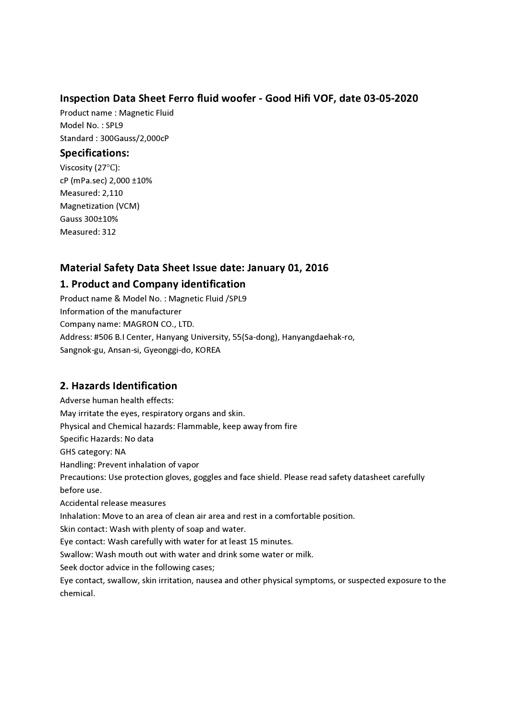### Inspection Data Sheet Ferro fluid woofer - Good Hifi VOF, date 03-05-2020

Product name : Magnetic Fluid Model No. : SPL9 Standard : 300Gauss/2,000cP

#### Specifications:

Viscosity (27℃): cP (mPa.sec) 2,000 ±10% Measured: 2,110 Magnetization (VCM) Gauss 300±10% Measured: 312

## Material Safety Data Sheet Issue date: January 01, 2016

## 1. Product and Company identification

Product name & Model No. : Magnetic Fluid /SPL9 Information of the manufacturer Company name: MAGRON CO., LTD. Address: #506 B.I Center, Hanyang University, 55(Sa-dong), Hanyangdaehak-ro, Sangnok-gu, Ansan-si, Gyeonggi-do, KOREA

# 2. Hazards Identification

Adverse human health effects: May irritate the eyes, respiratory organs and skin. Physical and Chemical hazards: Flammable, keep away from fire Specific Hazards: No data GHS category: NA Handling: Prevent inhalation of vapor Precautions: Use protection gloves, goggles and face shield. Please read safety datasheet carefully before use. Accidental release measures Inhalation: Move to an area of clean air area and rest in a comfortable position. Skin contact: Wash with plenty of soap and water. Eye contact: Wash carefully with water for at least 15 minutes. Swallow: Wash mouth out with water and drink some water or milk. Seek doctor advice in the following cases; Eye contact, swallow, skin irritation, nausea and other physical symptoms, or suspected exposure to the chemical.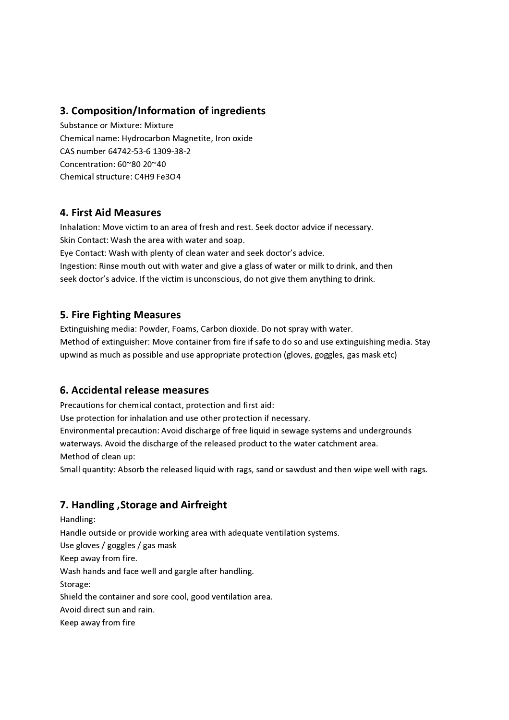## 3. Composition/Information of ingredients

Substance or Mixture: Mixture Chemical name: Hydrocarbon Magnetite, Iron oxide CAS number 64742-53-6 1309-38-2 Concentration: 60~80 20~40 Chemical structure: C4H9 Fe3O4

#### 4. First Aid Measures

Inhalation: Move victim to an area of fresh and rest. Seek doctor advice if necessary. Skin Contact: Wash the area with water and soap.

Eye Contact: Wash with plenty of clean water and seek doctor's advice. Ingestion: Rinse mouth out with water and give a glass of water or milk to drink, and then seek doctor's advice. If the victim is unconscious, do not give them anything to drink.

### 5. Fire Fighting Measures

Extinguishing media: Powder, Foams, Carbon dioxide. Do not spray with water. Method of extinguisher: Move container from fire if safe to do so and use extinguishing media. Stay upwind as much as possible and use appropriate protection (gloves, goggles, gas mask etc)

### 6. Accidental release measures

Precautions for chemical contact, protection and first aid:

Use protection for inhalation and use other protection if necessary.

Environmental precaution: Avoid discharge of free liquid in sewage systems and undergrounds waterways. Avoid the discharge of the released product to the water catchment area. Method of clean up:

Small quantity: Absorb the released liquid with rags, sand or sawdust and then wipe well with rags.

# 7. Handling ,Storage and Airfreight

Handling: Handle outside or provide working area with adequate ventilation systems. Use gloves / goggles / gas mask Keep away from fire. Wash hands and face well and gargle after handling. Storage: Shield the container and sore cool, good ventilation area. Avoid direct sun and rain. Keep away from fire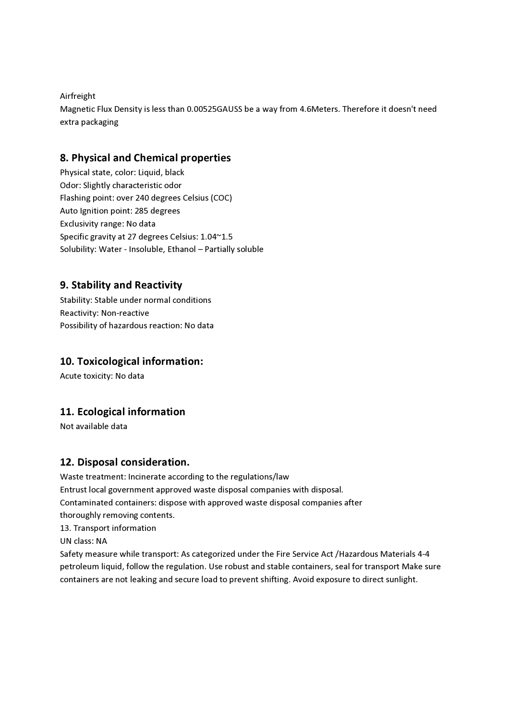Airfreight

Magnetic Flux Density is less than 0.00525GAUSS be a way from 4.6Meters. Therefore it doesn't need extra packaging

### 8. Physical and Chemical properties

Physical state, color: Liquid, black Odor: Slightly characteristic odor Flashing point: over 240 degrees Celsius (COC) Auto Ignition point: 285 degrees Exclusivity range: No data Specific gravity at 27 degrees Celsius: 1.04~1.5 Solubility: Water - Insoluble, Ethanol – Partially soluble

## 9. Stability and Reactivity

Stability: Stable under normal conditions Reactivity: Non-reactive Possibility of hazardous reaction: No data

### 10. Toxicological information:

Acute toxicity: No data

# 11. Ecological information

Not available data

### 12. Disposal consideration.

Waste treatment: Incinerate according to the regulations/law Entrust local government approved waste disposal companies with disposal. Contaminated containers: dispose with approved waste disposal companies after thoroughly removing contents.

13. Transport information

UN class: NA

Safety measure while transport: As categorized under the Fire Service Act /Hazardous Materials 4-4 petroleum liquid, follow the regulation. Use robust and stable containers, seal for transport Make sure containers are not leaking and secure load to prevent shifting. Avoid exposure to direct sunlight.